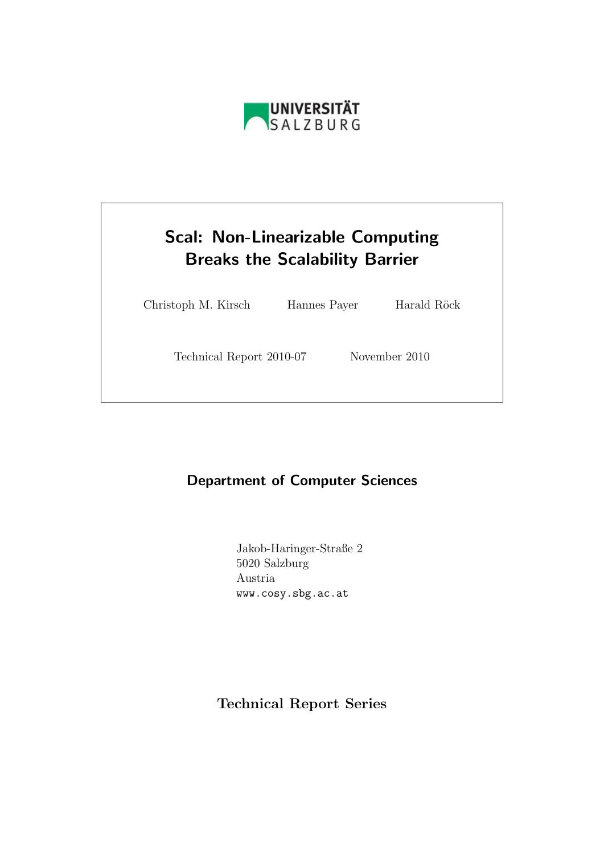

# Scal: Non-Linearizable Computing Breaks the Scalability Barrier

Christoph M. Kirsch Hannes Payer Harald Röck

Technical Report 2010-07 November 2010

# Department of Computer Sciences

Jakob-Haringer-Straße 2 5020 Salzburg Austria www.cosy.sbg.ac.at

Technical Report Series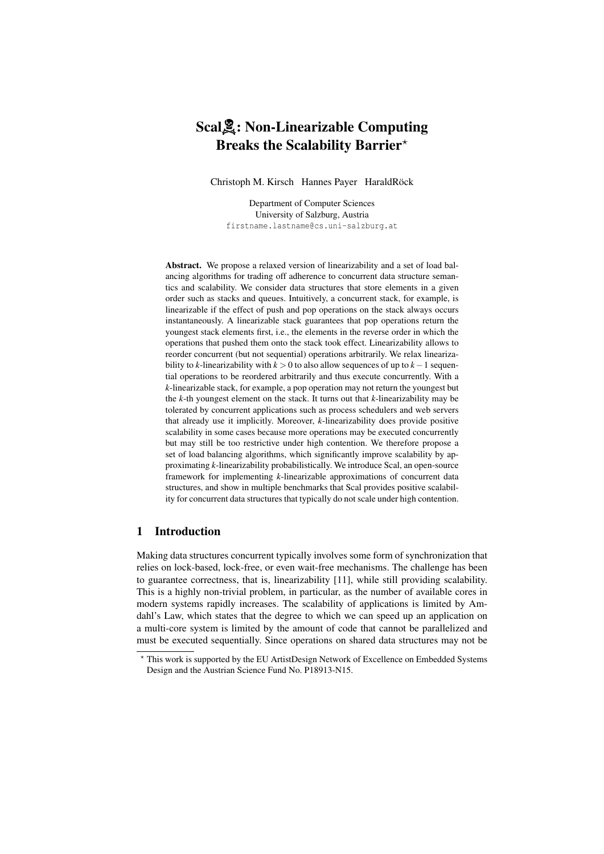# ScalA: Non-Linearizable Computing Breaks the Scalability Barrier<sup>\*</sup>

Christoph M. Kirsch Hannes Payer HaraldRöck

Department of Computer Sciences University of Salzburg, Austria firstname.lastname@cs.uni-salzburg.at

Abstract. We propose a relaxed version of linearizability and a set of load balancing algorithms for trading off adherence to concurrent data structure semantics and scalability. We consider data structures that store elements in a given order such as stacks and queues. Intuitively, a concurrent stack, for example, is linearizable if the effect of push and pop operations on the stack always occurs instantaneously. A linearizable stack guarantees that pop operations return the youngest stack elements first, i.e., the elements in the reverse order in which the operations that pushed them onto the stack took effect. Linearizability allows to reorder concurrent (but not sequential) operations arbitrarily. We relax linearizability to *k*-linearizability with *k* > 0 to also allow sequences of up to *k*−1 sequential operations to be reordered arbitrarily and thus execute concurrently. With a *k*-linearizable stack, for example, a pop operation may not return the youngest but the *k*-th youngest element on the stack. It turns out that *k*-linearizability may be tolerated by concurrent applications such as process schedulers and web servers that already use it implicitly. Moreover, *k*-linearizability does provide positive scalability in some cases because more operations may be executed concurrently but may still be too restrictive under high contention. We therefore propose a set of load balancing algorithms, which significantly improve scalability by approximating *k*-linearizability probabilistically. We introduce Scal, an open-source framework for implementing *k*-linearizable approximations of concurrent data structures, and show in multiple benchmarks that Scal provides positive scalability for concurrent data structures that typically do not scale under high contention.

# 1 Introduction

Making data structures concurrent typically involves some form of synchronization that relies on lock-based, lock-free, or even wait-free mechanisms. The challenge has been to guarantee correctness, that is, linearizability [11], while still providing scalability. This is a highly non-trivial problem, in particular, as the number of available cores in modern systems rapidly increases. The scalability of applications is limited by Amdahl's Law, which states that the degree to which we can speed up an application on a multi-core system is limited by the amount of code that cannot be parallelized and must be executed sequentially. Since operations on shared data structures may not be

<sup>?</sup> This work is supported by the EU ArtistDesign Network of Excellence on Embedded Systems Design and the Austrian Science Fund No. P18913-N15.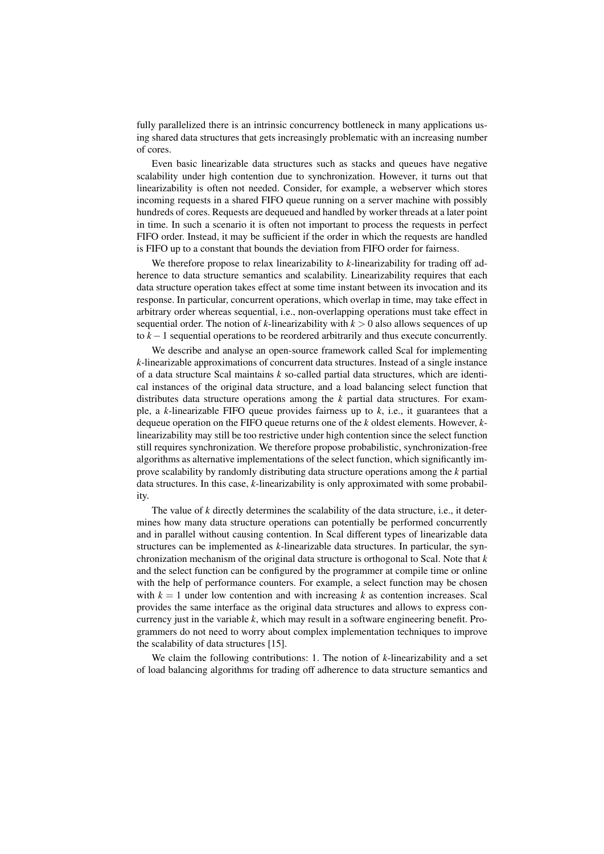fully parallelized there is an intrinsic concurrency bottleneck in many applications using shared data structures that gets increasingly problematic with an increasing number of cores.

Even basic linearizable data structures such as stacks and queues have negative scalability under high contention due to synchronization. However, it turns out that linearizability is often not needed. Consider, for example, a webserver which stores incoming requests in a shared FIFO queue running on a server machine with possibly hundreds of cores. Requests are dequeued and handled by worker threads at a later point in time. In such a scenario it is often not important to process the requests in perfect FIFO order. Instead, it may be sufficient if the order in which the requests are handled is FIFO up to a constant that bounds the deviation from FIFO order for fairness.

We therefore propose to relax linearizability to *k*-linearizability for trading off adherence to data structure semantics and scalability. Linearizability requires that each data structure operation takes effect at some time instant between its invocation and its response. In particular, concurrent operations, which overlap in time, may take effect in arbitrary order whereas sequential, i.e., non-overlapping operations must take effect in sequential order. The notion of *k*-linearizability with  $k > 0$  also allows sequences of up to  $k-1$  sequential operations to be reordered arbitrarily and thus execute concurrently.

We describe and analyse an open-source framework called Scal for implementing *k*-linearizable approximations of concurrent data structures. Instead of a single instance of a data structure Scal maintains *k* so-called partial data structures, which are identical instances of the original data structure, and a load balancing select function that distributes data structure operations among the *k* partial data structures. For example, a *k*-linearizable FIFO queue provides fairness up to *k*, i.e., it guarantees that a dequeue operation on the FIFO queue returns one of the *k* oldest elements. However, *k*linearizability may still be too restrictive under high contention since the select function still requires synchronization. We therefore propose probabilistic, synchronization-free algorithms as alternative implementations of the select function, which significantly improve scalability by randomly distributing data structure operations among the *k* partial data structures. In this case, *k*-linearizability is only approximated with some probability.

The value of *k* directly determines the scalability of the data structure, i.e., it determines how many data structure operations can potentially be performed concurrently and in parallel without causing contention. In Scal different types of linearizable data structures can be implemented as *k*-linearizable data structures. In particular, the synchronization mechanism of the original data structure is orthogonal to Scal. Note that *k* and the select function can be configured by the programmer at compile time or online with the help of performance counters. For example, a select function may be chosen with  $k = 1$  under low contention and with increasing k as contention increases. Scal provides the same interface as the original data structures and allows to express concurrency just in the variable *k*, which may result in a software engineering benefit. Programmers do not need to worry about complex implementation techniques to improve the scalability of data structures [15].

We claim the following contributions: 1. The notion of *k*-linearizability and a set of load balancing algorithms for trading off adherence to data structure semantics and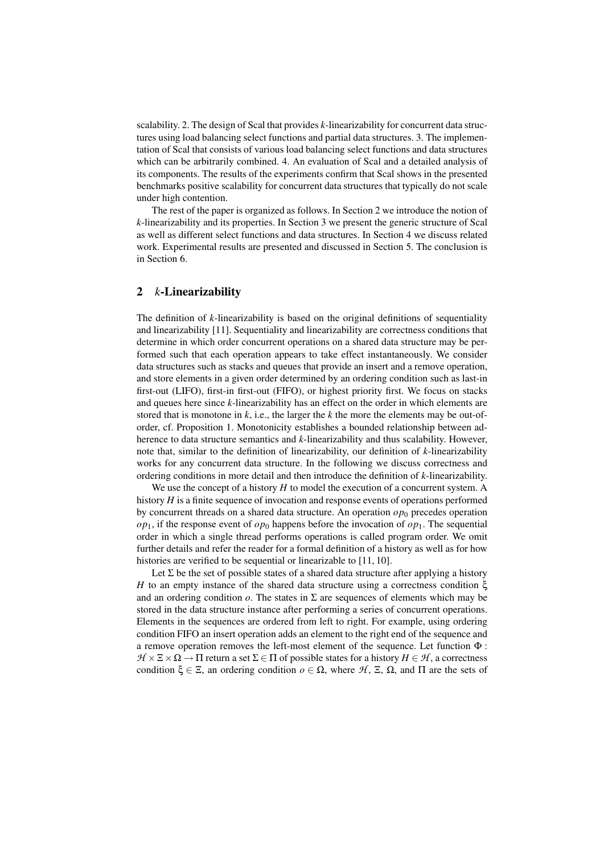scalability. 2. The design of Scal that provides *k*-linearizability for concurrent data structures using load balancing select functions and partial data structures. 3. The implementation of Scal that consists of various load balancing select functions and data structures which can be arbitrarily combined. 4. An evaluation of Scal and a detailed analysis of its components. The results of the experiments confirm that Scal shows in the presented benchmarks positive scalability for concurrent data structures that typically do not scale under high contention.

The rest of the paper is organized as follows. In Section 2 we introduce the notion of *k*-linearizability and its properties. In Section 3 we present the generic structure of Scal as well as different select functions and data structures. In Section 4 we discuss related work. Experimental results are presented and discussed in Section 5. The conclusion is in Section 6.

# 2 *k*-Linearizability

The definition of *k*-linearizability is based on the original definitions of sequentiality and linearizability [11]. Sequentiality and linearizability are correctness conditions that determine in which order concurrent operations on a shared data structure may be performed such that each operation appears to take effect instantaneously. We consider data structures such as stacks and queues that provide an insert and a remove operation, and store elements in a given order determined by an ordering condition such as last-in first-out (LIFO), first-in first-out (FIFO), or highest priority first. We focus on stacks and queues here since *k*-linearizability has an effect on the order in which elements are stored that is monotone in  $k$ , i.e., the larger the  $k$  the more the elements may be out-oforder, cf. Proposition 1. Monotonicity establishes a bounded relationship between adherence to data structure semantics and *k*-linearizability and thus scalability. However, note that, similar to the definition of linearizability, our definition of *k*-linearizability works for any concurrent data structure. In the following we discuss correctness and ordering conditions in more detail and then introduce the definition of *k*-linearizability.

We use the concept of a history *H* to model the execution of a concurrent system. A history *H* is a finite sequence of invocation and response events of operations performed by concurrent threads on a shared data structure. An operation  $op_0$  precedes operation  $op_1$ , if the response event of  $op_0$  happens before the invocation of  $op_1$ . The sequential order in which a single thread performs operations is called program order. We omit further details and refer the reader for a formal definition of a history as well as for how histories are verified to be sequential or linearizable to [11, 10].

Let  $\Sigma$  be the set of possible states of a shared data structure after applying a history *H* to an empty instance of the shared data structure using a correctness condition ξ and an ordering condition  $\rho$ . The states in  $\Sigma$  are sequences of elements which may be stored in the data structure instance after performing a series of concurrent operations. Elements in the sequences are ordered from left to right. For example, using ordering condition FIFO an insert operation adds an element to the right end of the sequence and a remove operation removes the left-most element of the sequence. Let function Φ :  $H \times \Xi \times \Omega \rightarrow \Pi$  return a set  $\Sigma \in \Pi$  of possible states for a history  $H \in \mathcal{H}$ , a correctness condition  $\xi \in \Xi$ , an ordering condition  $o \in \Omega$ , where  $H$ ,  $\Xi$ ,  $\Omega$ , and  $\Pi$  are the sets of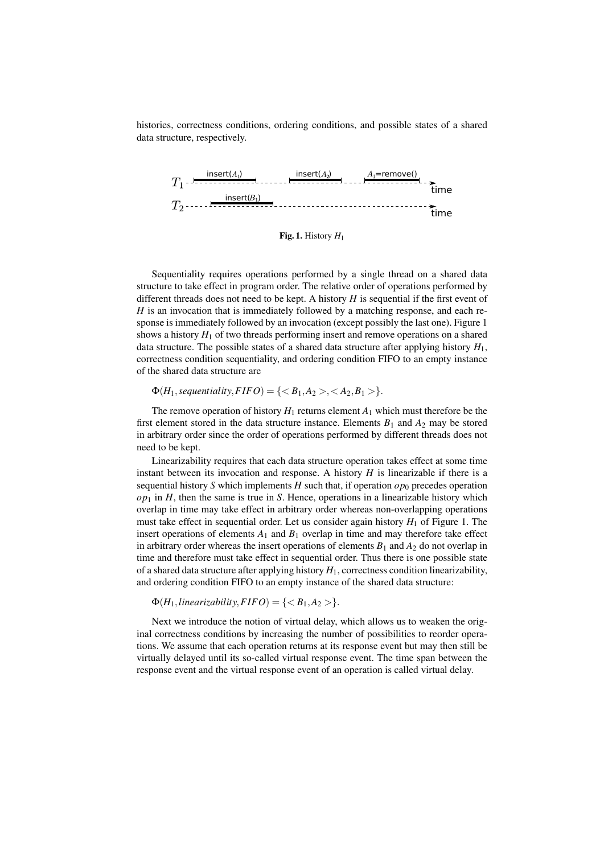histories, correctness conditions, ordering conditions, and possible states of a shared data structure, respectively.



Fig. 1. History *H*<sup>1</sup>

Sequentiality requires operations performed by a single thread on a shared data structure to take effect in program order. The relative order of operations performed by different threads does not need to be kept. A history *H* is sequential if the first event of *H* is an invocation that is immediately followed by a matching response, and each response is immediately followed by an invocation (except possibly the last one). Figure 1 shows a history  $H_1$  of two threads performing insert and remove operations on a shared data structure. The possible states of a shared data structure after applying history *H*1, correctness condition sequentiality, and ordering condition FIFO to an empty instance of the shared data structure are

# $\Phi(H_1, \text{sequential } ity, FIFO) = \{ \langle B_1, A_2 \rangle, \langle A_2, B_1 \rangle \}.$

The remove operation of history  $H_1$  returns element  $A_1$  which must therefore be the first element stored in the data structure instance. Elements  $B_1$  and  $A_2$  may be stored in arbitrary order since the order of operations performed by different threads does not need to be kept.

Linearizability requires that each data structure operation takes effect at some time instant between its invocation and response. A history  $H$  is linearizable if there is a sequential history *S* which implements *H* such that, if operation  $op_0$  precedes operation  $op_1$  in *H*, then the same is true in *S*. Hence, operations in a linearizable history which overlap in time may take effect in arbitrary order whereas non-overlapping operations must take effect in sequential order. Let us consider again history  $H_1$  of Figure 1. The insert operations of elements  $A_1$  and  $B_1$  overlap in time and may therefore take effect in arbitrary order whereas the insert operations of elements  $B_1$  and  $A_2$  do not overlap in time and therefore must take effect in sequential order. Thus there is one possible state of a shared data structure after applying history *H*1, correctness condition linearizability, and ordering condition FIFO to an empty instance of the shared data structure:

 $\Phi(H_1, linearizability, FIFO) = \{  \}.$ 

Next we introduce the notion of virtual delay, which allows us to weaken the original correctness conditions by increasing the number of possibilities to reorder operations. We assume that each operation returns at its response event but may then still be virtually delayed until its so-called virtual response event. The time span between the response event and the virtual response event of an operation is called virtual delay.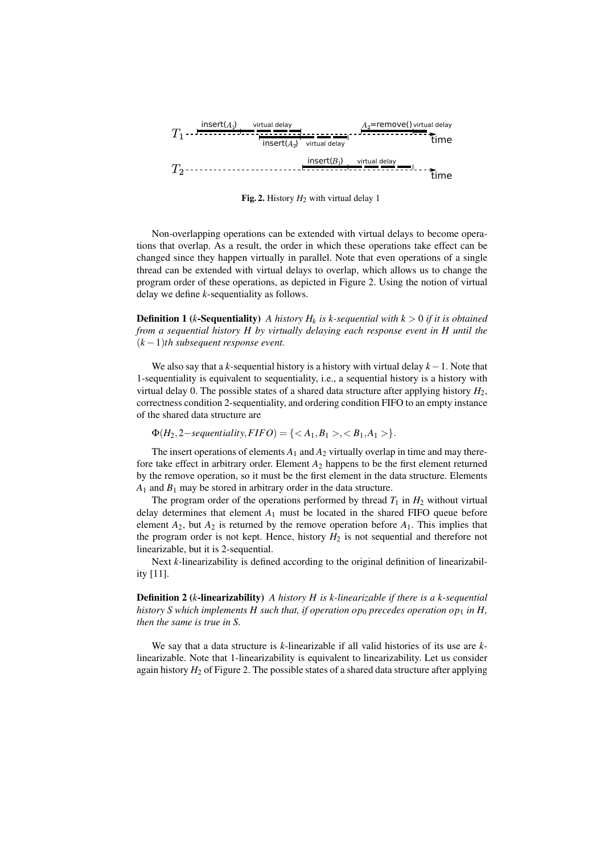

Fig. 2. History  $H_2$  with virtual delay 1

Non-overlapping operations can be extended with virtual delays to become operations that overlap. As a result, the order in which these operations take effect can be changed since they happen virtually in parallel. Note that even operations of a single thread can be extended with virtual delays to overlap, which allows us to change the program order of these operations, as depicted in Figure 2. Using the notion of virtual delay we define *k*-sequentiality as follows.

**Definition 1** (*k*-Sequentiality) *A history H<sub>k</sub> is k-sequential with*  $k > 0$  *if it is obtained from a sequential history H by virtually delaying each response event in H until the* (*k* −1)*th subsequent response event.*

We also say that a *k*-sequential history is a history with virtual delay *k*−1. Note that 1-sequentiality is equivalent to sequentiality, i.e., a sequential history is a history with virtual delay 0. The possible states of a shared data structure after applying history  $H_2$ , correctness condition 2-sequentiality, and ordering condition FIFO to an empty instance of the shared data structure are

 $Φ(H_2, 2-sequentiality, FIFO) = { ,  }$ .

The insert operations of elements  $A_1$  and  $A_2$  virtually overlap in time and may therefore take effect in arbitrary order. Element *A*<sup>2</sup> happens to be the first element returned by the remove operation, so it must be the first element in the data structure. Elements  $A_1$  and  $B_1$  may be stored in arbitrary order in the data structure.

The program order of the operations performed by thread  $T_1$  in  $H_2$  without virtual delay determines that element  $A_1$  must be located in the shared FIFO queue before element  $A_2$ , but  $A_2$  is returned by the remove operation before  $A_1$ . This implies that the program order is not kept. Hence, history  $H_2$  is not sequential and therefore not linearizable, but it is 2-sequential.

Next *k*-linearizability is defined according to the original definition of linearizability [11].

Definition 2 (*k*-linearizability) *A history H is k-linearizable if there is a k-sequential history S which implements H such that, if operation*  $op_0$  *precedes operation op<sub>1</sub> in H, then the same is true in S.*

We say that a data structure is *k*-linearizable if all valid histories of its use are *k*linearizable. Note that 1-linearizability is equivalent to linearizability. Let us consider again history  $H_2$  of Figure 2. The possible states of a shared data structure after applying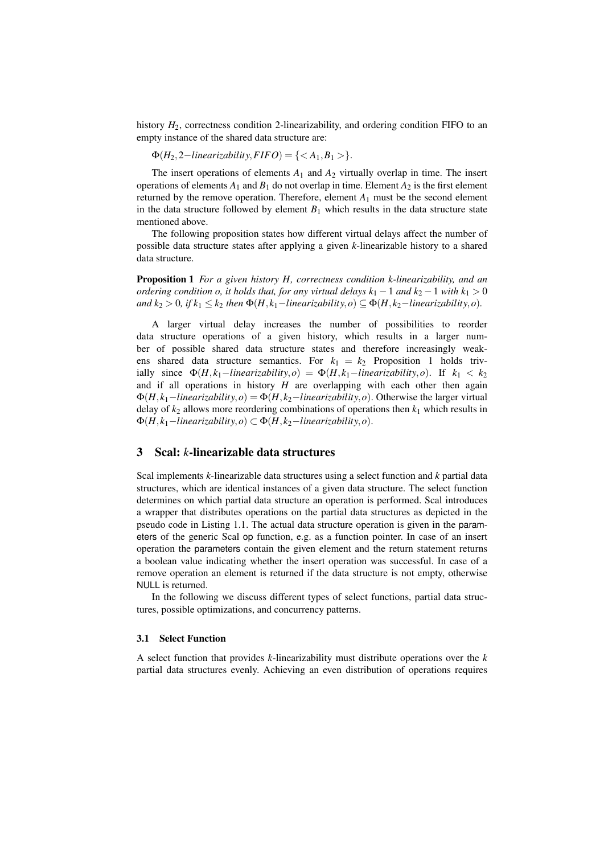history  $H_2$ , correctness condition 2-linearizability, and ordering condition FIFO to an empty instance of the shared data structure are:

 $\Phi(H_2, 2-linearizability, FIFO) = \{  \}.$ 

The insert operations of elements  $A_1$  and  $A_2$  virtually overlap in time. The insert operations of elements  $A_1$  and  $B_1$  do not overlap in time. Element  $A_2$  is the first element returned by the remove operation. Therefore, element  $A_1$  must be the second element in the data structure followed by element  $B_1$  which results in the data structure state mentioned above.

The following proposition states how different virtual delays affect the number of possible data structure states after applying a given *k*-linearizable history to a shared data structure.

Proposition 1 *For a given history H, correctness condition k-linearizability, and an ordering condition o, it holds that, for any virtual delays k*<sub>1</sub> − 1 *and k*<sub>2</sub> − 1 *with k*<sub>1</sub> > 0 *and*  $k_2 > 0$ , if  $k_1 ≤ k_2$  *then*  $\Phi(H, k_1 - linearizability, o) ⊆ \Phi(H, k_2 - linearizability, o)$ .

A larger virtual delay increases the number of possibilities to reorder data structure operations of a given history, which results in a larger number of possible shared data structure states and therefore increasingly weakens shared data structure semantics. For  $k_1 = k_2$  Proposition 1 holds trivially since  $\Phi(H, k_1 - linearizability, o) = \Phi(H, k_1 - linearizability, o)$ . If  $k_1 < k_2$ and if all operations in history *H* are overlapping with each other then again  $\Phi(H, k_1 - linearizability, o) = \Phi(H, k_2 - linearizability, o)$ . Otherwise the larger virtual delay of  $k_2$  allows more reordering combinations of operations then  $k_1$  which results in  $\Phi(H, k_1 - linearizability, o) \subset \Phi(H, k_2 - linearizability, o).$ 

# 3 Scal: *k*-linearizable data structures

Scal implements *k*-linearizable data structures using a select function and *k* partial data structures, which are identical instances of a given data structure. The select function determines on which partial data structure an operation is performed. Scal introduces a wrapper that distributes operations on the partial data structures as depicted in the pseudo code in Listing 1.1. The actual data structure operation is given in the parameters of the generic Scal op function, e.g. as a function pointer. In case of an insert operation the parameters contain the given element and the return statement returns a boolean value indicating whether the insert operation was successful. In case of a remove operation an element is returned if the data structure is not empty, otherwise NULL is returned.

In the following we discuss different types of select functions, partial data structures, possible optimizations, and concurrency patterns.

#### 3.1 Select Function

A select function that provides *k*-linearizability must distribute operations over the *k* partial data structures evenly. Achieving an even distribution of operations requires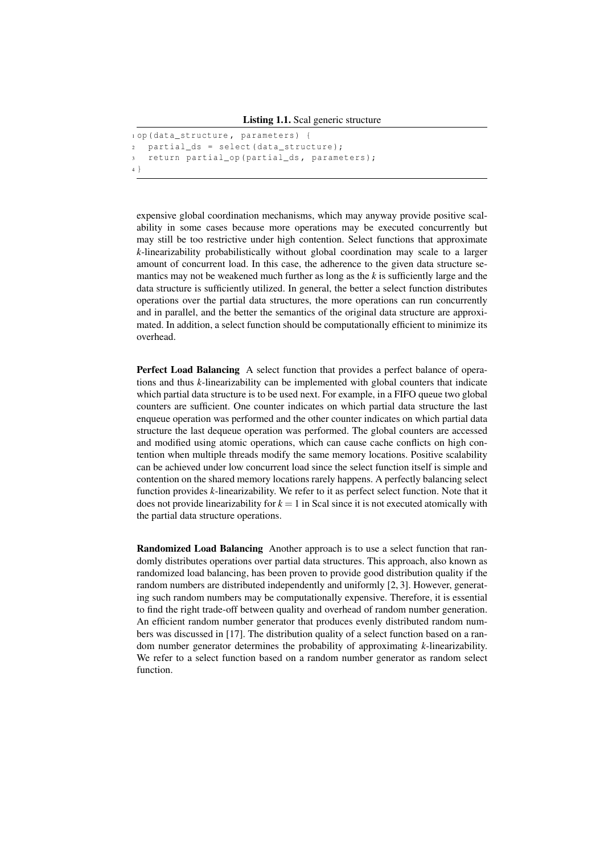```
1 op ( data_structure , parameters ) {
   partial_d s = select ( data_structure);
   return partial_op ( partial_ds, parameters );
4 }
```
expensive global coordination mechanisms, which may anyway provide positive scalability in some cases because more operations may be executed concurrently but may still be too restrictive under high contention. Select functions that approximate *k*-linearizability probabilistically without global coordination may scale to a larger amount of concurrent load. In this case, the adherence to the given data structure semantics may not be weakened much further as long as the *k* is sufficiently large and the data structure is sufficiently utilized. In general, the better a select function distributes operations over the partial data structures, the more operations can run concurrently and in parallel, and the better the semantics of the original data structure are approximated. In addition, a select function should be computationally efficient to minimize its overhead.

Perfect Load Balancing A select function that provides a perfect balance of operations and thus *k*-linearizability can be implemented with global counters that indicate which partial data structure is to be used next. For example, in a FIFO queue two global counters are sufficient. One counter indicates on which partial data structure the last enqueue operation was performed and the other counter indicates on which partial data structure the last dequeue operation was performed. The global counters are accessed and modified using atomic operations, which can cause cache conflicts on high contention when multiple threads modify the same memory locations. Positive scalability can be achieved under low concurrent load since the select function itself is simple and contention on the shared memory locations rarely happens. A perfectly balancing select function provides *k*-linearizability. We refer to it as perfect select function. Note that it does not provide linearizability for  $k = 1$  in Scal since it is not executed atomically with the partial data structure operations.

Randomized Load Balancing Another approach is to use a select function that randomly distributes operations over partial data structures. This approach, also known as randomized load balancing, has been proven to provide good distribution quality if the random numbers are distributed independently and uniformly [2, 3]. However, generating such random numbers may be computationally expensive. Therefore, it is essential to find the right trade-off between quality and overhead of random number generation. An efficient random number generator that produces evenly distributed random numbers was discussed in [17]. The distribution quality of a select function based on a random number generator determines the probability of approximating *k*-linearizability. We refer to a select function based on a random number generator as random select function.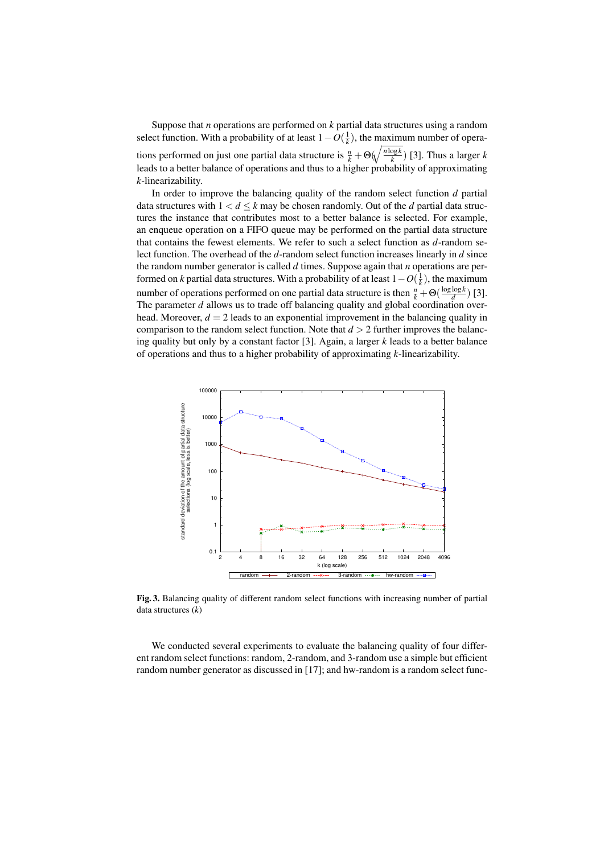Suppose that *n* operations are performed on *k* partial data structures using a random select function. With a probability of at least  $1 - O(\frac{1}{k})$ , the maximum number of operations performed on just one partial data structure is  $\frac{n}{k} + \Theta(\sqrt{\frac{n \log k}{k}})$  $\frac{\log k}{k}$ ) [3]. Thus a larger *k* leads to a better balance of operations and thus to a higher probability of approximating *k*-linearizability.

In order to improve the balancing quality of the random select function *d* partial data structures with  $1 < d \leq k$  may be chosen randomly. Out of the *d* partial data structures the instance that contributes most to a better balance is selected. For example, an enqueue operation on a FIFO queue may be performed on the partial data structure that contains the fewest elements. We refer to such a select function as *d*-random select function. The overhead of the *d*-random select function increases linearly in *d* since the random number generator is called *d* times. Suppose again that *n* operations are performed on *k* partial data structures. With a probability of at least  $1 - O(\frac{1}{k})$ , the maximum number of operations performed on one partial data structure is then  $\frac{n}{k} + \Theta(\frac{\log \log k}{d})$  $\frac{\log k}{d}$ ) [3]. The parameter  $d$  allows us to trade off balancing quality and global coordination overhead. Moreover,  $d = 2$  leads to an exponential improvement in the balancing quality in comparison to the random select function. Note that  $d > 2$  further improves the balancing quality but only by a constant factor [3]. Again, a larger *k* leads to a better balance of operations and thus to a higher probability of approximating *k*-linearizability.



Fig. 3. Balancing quality of different random select functions with increasing number of partial data structures (*k*)

We conducted several experiments to evaluate the balancing quality of four different random select functions: random, 2-random, and 3-random use a simple but efficient random number generator as discussed in [17]; and hw-random is a random select func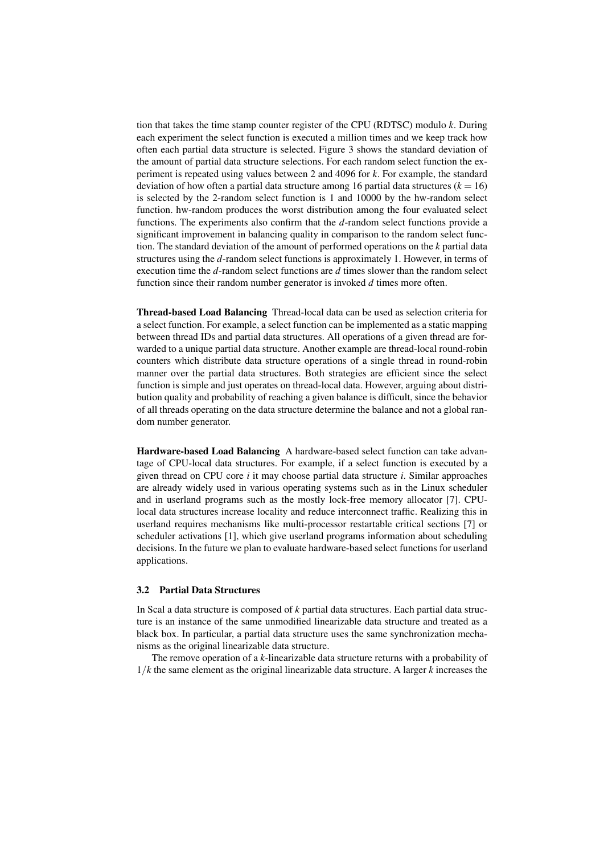tion that takes the time stamp counter register of the CPU (RDTSC) modulo *k*. During each experiment the select function is executed a million times and we keep track how often each partial data structure is selected. Figure 3 shows the standard deviation of the amount of partial data structure selections. For each random select function the experiment is repeated using values between 2 and 4096 for *k*. For example, the standard deviation of how often a partial data structure among 16 partial data structures  $(k = 16)$ is selected by the 2-random select function is 1 and 10000 by the hw-random select function. hw-random produces the worst distribution among the four evaluated select functions. The experiments also confirm that the *d*-random select functions provide a significant improvement in balancing quality in comparison to the random select function. The standard deviation of the amount of performed operations on the *k* partial data structures using the *d*-random select functions is approximately 1. However, in terms of execution time the *d*-random select functions are *d* times slower than the random select function since their random number generator is invoked *d* times more often.

Thread-based Load Balancing Thread-local data can be used as selection criteria for a select function. For example, a select function can be implemented as a static mapping between thread IDs and partial data structures. All operations of a given thread are forwarded to a unique partial data structure. Another example are thread-local round-robin counters which distribute data structure operations of a single thread in round-robin manner over the partial data structures. Both strategies are efficient since the select function is simple and just operates on thread-local data. However, arguing about distribution quality and probability of reaching a given balance is difficult, since the behavior of all threads operating on the data structure determine the balance and not a global random number generator.

Hardware-based Load Balancing A hardware-based select function can take advantage of CPU-local data structures. For example, if a select function is executed by a given thread on CPU core *i* it may choose partial data structure *i*. Similar approaches are already widely used in various operating systems such as in the Linux scheduler and in userland programs such as the mostly lock-free memory allocator [7]. CPUlocal data structures increase locality and reduce interconnect traffic. Realizing this in userland requires mechanisms like multi-processor restartable critical sections [7] or scheduler activations [1], which give userland programs information about scheduling decisions. In the future we plan to evaluate hardware-based select functions for userland applications.

#### 3.2 Partial Data Structures

In Scal a data structure is composed of *k* partial data structures. Each partial data structure is an instance of the same unmodified linearizable data structure and treated as a black box. In particular, a partial data structure uses the same synchronization mechanisms as the original linearizable data structure.

The remove operation of a *k*-linearizable data structure returns with a probability of 1/*k* the same element as the original linearizable data structure. A larger *k* increases the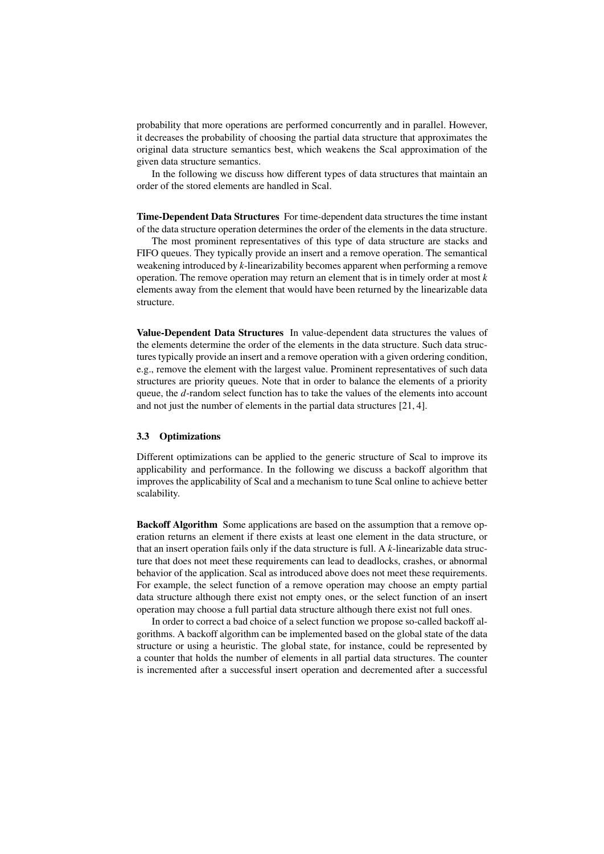probability that more operations are performed concurrently and in parallel. However, it decreases the probability of choosing the partial data structure that approximates the original data structure semantics best, which weakens the Scal approximation of the given data structure semantics.

In the following we discuss how different types of data structures that maintain an order of the stored elements are handled in Scal.

Time-Dependent Data Structures For time-dependent data structures the time instant of the data structure operation determines the order of the elements in the data structure.

The most prominent representatives of this type of data structure are stacks and FIFO queues. They typically provide an insert and a remove operation. The semantical weakening introduced by *k*-linearizability becomes apparent when performing a remove operation. The remove operation may return an element that is in timely order at most *k* elements away from the element that would have been returned by the linearizable data structure.

Value-Dependent Data Structures In value-dependent data structures the values of the elements determine the order of the elements in the data structure. Such data structures typically provide an insert and a remove operation with a given ordering condition, e.g., remove the element with the largest value. Prominent representatives of such data structures are priority queues. Note that in order to balance the elements of a priority queue, the *d*-random select function has to take the values of the elements into account and not just the number of elements in the partial data structures [21, 4].

#### 3.3 Optimizations

Different optimizations can be applied to the generic structure of Scal to improve its applicability and performance. In the following we discuss a backoff algorithm that improves the applicability of Scal and a mechanism to tune Scal online to achieve better scalability.

Backoff Algorithm Some applications are based on the assumption that a remove operation returns an element if there exists at least one element in the data structure, or that an insert operation fails only if the data structure is full. A *k*-linearizable data structure that does not meet these requirements can lead to deadlocks, crashes, or abnormal behavior of the application. Scal as introduced above does not meet these requirements. For example, the select function of a remove operation may choose an empty partial data structure although there exist not empty ones, or the select function of an insert operation may choose a full partial data structure although there exist not full ones.

In order to correct a bad choice of a select function we propose so-called backoff algorithms. A backoff algorithm can be implemented based on the global state of the data structure or using a heuristic. The global state, for instance, could be represented by a counter that holds the number of elements in all partial data structures. The counter is incremented after a successful insert operation and decremented after a successful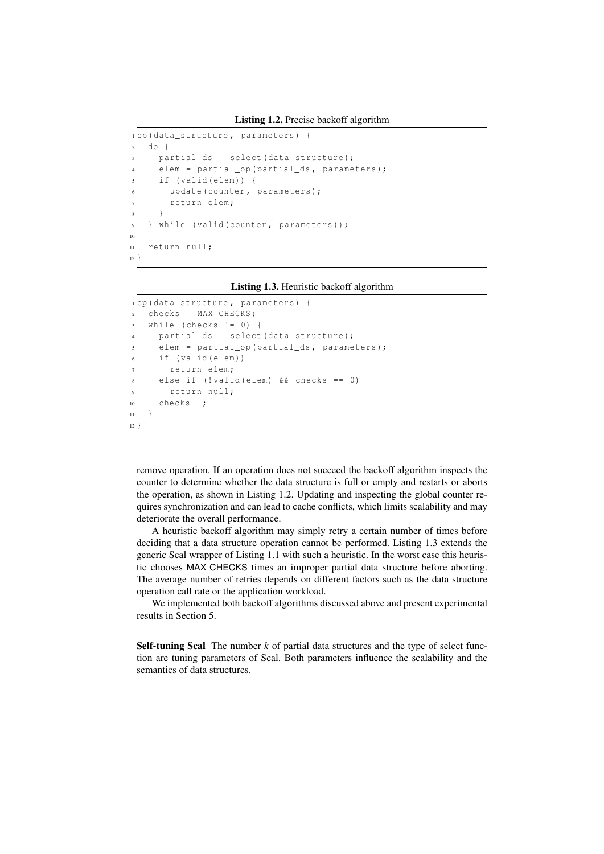Listing 1.2. Precise backoff algorithm

```
1 op ( data_structure , parameters ) {
2 do {
3 partial_ds = select ( data_structure );
4 elem = partial_op ( partial_ds , parameters );
5 if ( valid ( elem )) {
        update (counter, parameters);
7 return elem ;
      8 }
   9 } while ( valid ( counter , parameters ));
10
11 return null;
12 }
```
Listing 1.3. Heuristic backoff algorithm

```
1 op ( data_structure , parameters ) {
2 checks = MAX_CHECKS ;
3 while (checks != 0) {
     partial_d s = select ( data_structure);5 elem = partial_op ( partial_ds , parameters );
6 if (valid (elem))
       return elem;
     else if (! valid ( elem ) &\& checks == 0)
9 return null;
10 checks -;
11 }
12 \frac{1}{2}
```
remove operation. If an operation does not succeed the backoff algorithm inspects the counter to determine whether the data structure is full or empty and restarts or aborts the operation, as shown in Listing 1.2. Updating and inspecting the global counter requires synchronization and can lead to cache conflicts, which limits scalability and may deteriorate the overall performance.

A heuristic backoff algorithm may simply retry a certain number of times before deciding that a data structure operation cannot be performed. Listing 1.3 extends the generic Scal wrapper of Listing 1.1 with such a heuristic. In the worst case this heuristic chooses MAX CHECKS times an improper partial data structure before aborting. The average number of retries depends on different factors such as the data structure operation call rate or the application workload.

We implemented both backoff algorithms discussed above and present experimental results in Section 5.

Self-tuning Scal The number *k* of partial data structures and the type of select function are tuning parameters of Scal. Both parameters influence the scalability and the semantics of data structures.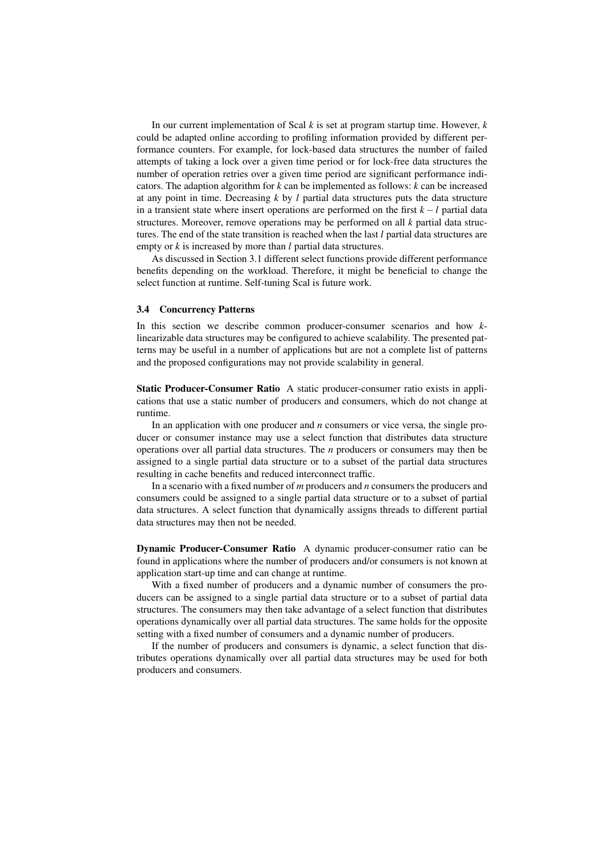In our current implementation of Scal *k* is set at program startup time. However, *k* could be adapted online according to profiling information provided by different performance counters. For example, for lock-based data structures the number of failed attempts of taking a lock over a given time period or for lock-free data structures the number of operation retries over a given time period are significant performance indicators. The adaption algorithm for *k* can be implemented as follows: *k* can be increased at any point in time. Decreasing *k* by *l* partial data structures puts the data structure in a transient state where insert operations are performed on the first *k* −*l* partial data structures. Moreover, remove operations may be performed on all *k* partial data structures. The end of the state transition is reached when the last *l* partial data structures are empty or *k* is increased by more than *l* partial data structures.

As discussed in Section 3.1 different select functions provide different performance benefits depending on the workload. Therefore, it might be beneficial to change the select function at runtime. Self-tuning Scal is future work.

#### 3.4 Concurrency Patterns

In this section we describe common producer-consumer scenarios and how *k*linearizable data structures may be configured to achieve scalability. The presented patterns may be useful in a number of applications but are not a complete list of patterns and the proposed configurations may not provide scalability in general.

Static Producer-Consumer Ratio A static producer-consumer ratio exists in applications that use a static number of producers and consumers, which do not change at runtime.

In an application with one producer and *n* consumers or vice versa, the single producer or consumer instance may use a select function that distributes data structure operations over all partial data structures. The *n* producers or consumers may then be assigned to a single partial data structure or to a subset of the partial data structures resulting in cache benefits and reduced interconnect traffic.

In a scenario with a fixed number of *m* producers and *n* consumers the producers and consumers could be assigned to a single partial data structure or to a subset of partial data structures. A select function that dynamically assigns threads to different partial data structures may then not be needed.

Dynamic Producer-Consumer Ratio A dynamic producer-consumer ratio can be found in applications where the number of producers and/or consumers is not known at application start-up time and can change at runtime.

With a fixed number of producers and a dynamic number of consumers the producers can be assigned to a single partial data structure or to a subset of partial data structures. The consumers may then take advantage of a select function that distributes operations dynamically over all partial data structures. The same holds for the opposite setting with a fixed number of consumers and a dynamic number of producers.

If the number of producers and consumers is dynamic, a select function that distributes operations dynamically over all partial data structures may be used for both producers and consumers.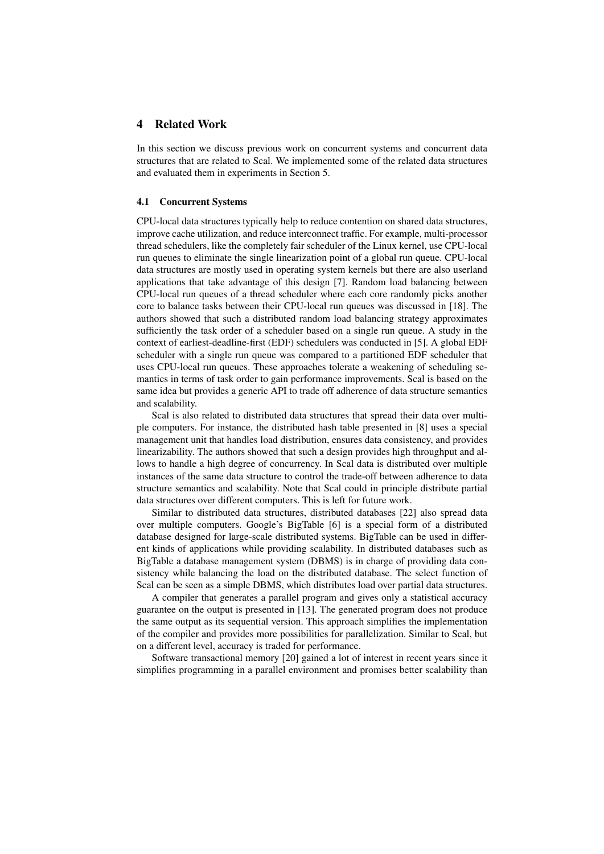## 4 Related Work

In this section we discuss previous work on concurrent systems and concurrent data structures that are related to Scal. We implemented some of the related data structures and evaluated them in experiments in Section 5.

#### 4.1 Concurrent Systems

CPU-local data structures typically help to reduce contention on shared data structures, improve cache utilization, and reduce interconnect traffic. For example, multi-processor thread schedulers, like the completely fair scheduler of the Linux kernel, use CPU-local run queues to eliminate the single linearization point of a global run queue. CPU-local data structures are mostly used in operating system kernels but there are also userland applications that take advantage of this design [7]. Random load balancing between CPU-local run queues of a thread scheduler where each core randomly picks another core to balance tasks between their CPU-local run queues was discussed in [18]. The authors showed that such a distributed random load balancing strategy approximates sufficiently the task order of a scheduler based on a single run queue. A study in the context of earliest-deadline-first (EDF) schedulers was conducted in [5]. A global EDF scheduler with a single run queue was compared to a partitioned EDF scheduler that uses CPU-local run queues. These approaches tolerate a weakening of scheduling semantics in terms of task order to gain performance improvements. Scal is based on the same idea but provides a generic API to trade off adherence of data structure semantics and scalability.

Scal is also related to distributed data structures that spread their data over multiple computers. For instance, the distributed hash table presented in [8] uses a special management unit that handles load distribution, ensures data consistency, and provides linearizability. The authors showed that such a design provides high throughput and allows to handle a high degree of concurrency. In Scal data is distributed over multiple instances of the same data structure to control the trade-off between adherence to data structure semantics and scalability. Note that Scal could in principle distribute partial data structures over different computers. This is left for future work.

Similar to distributed data structures, distributed databases [22] also spread data over multiple computers. Google's BigTable [6] is a special form of a distributed database designed for large-scale distributed systems. BigTable can be used in different kinds of applications while providing scalability. In distributed databases such as BigTable a database management system (DBMS) is in charge of providing data consistency while balancing the load on the distributed database. The select function of Scal can be seen as a simple DBMS, which distributes load over partial data structures.

A compiler that generates a parallel program and gives only a statistical accuracy guarantee on the output is presented in [13]. The generated program does not produce the same output as its sequential version. This approach simplifies the implementation of the compiler and provides more possibilities for parallelization. Similar to Scal, but on a different level, accuracy is traded for performance.

Software transactional memory [20] gained a lot of interest in recent years since it simplifies programming in a parallel environment and promises better scalability than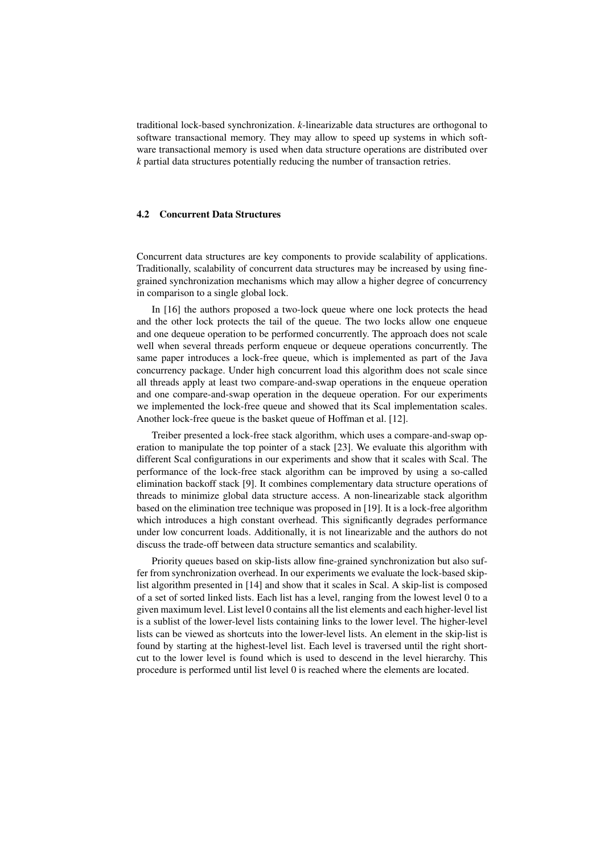traditional lock-based synchronization. *k*-linearizable data structures are orthogonal to software transactional memory. They may allow to speed up systems in which software transactional memory is used when data structure operations are distributed over *k* partial data structures potentially reducing the number of transaction retries.

#### 4.2 Concurrent Data Structures

Concurrent data structures are key components to provide scalability of applications. Traditionally, scalability of concurrent data structures may be increased by using finegrained synchronization mechanisms which may allow a higher degree of concurrency in comparison to a single global lock.

In [16] the authors proposed a two-lock queue where one lock protects the head and the other lock protects the tail of the queue. The two locks allow one enqueue and one dequeue operation to be performed concurrently. The approach does not scale well when several threads perform enqueue or dequeue operations concurrently. The same paper introduces a lock-free queue, which is implemented as part of the Java concurrency package. Under high concurrent load this algorithm does not scale since all threads apply at least two compare-and-swap operations in the enqueue operation and one compare-and-swap operation in the dequeue operation. For our experiments we implemented the lock-free queue and showed that its Scal implementation scales. Another lock-free queue is the basket queue of Hoffman et al. [12].

Treiber presented a lock-free stack algorithm, which uses a compare-and-swap operation to manipulate the top pointer of a stack [23]. We evaluate this algorithm with different Scal configurations in our experiments and show that it scales with Scal. The performance of the lock-free stack algorithm can be improved by using a so-called elimination backoff stack [9]. It combines complementary data structure operations of threads to minimize global data structure access. A non-linearizable stack algorithm based on the elimination tree technique was proposed in [19]. It is a lock-free algorithm which introduces a high constant overhead. This significantly degrades performance under low concurrent loads. Additionally, it is not linearizable and the authors do not discuss the trade-off between data structure semantics and scalability.

Priority queues based on skip-lists allow fine-grained synchronization but also suffer from synchronization overhead. In our experiments we evaluate the lock-based skiplist algorithm presented in [14] and show that it scales in Scal. A skip-list is composed of a set of sorted linked lists. Each list has a level, ranging from the lowest level 0 to a given maximum level. List level 0 contains all the list elements and each higher-level list is a sublist of the lower-level lists containing links to the lower level. The higher-level lists can be viewed as shortcuts into the lower-level lists. An element in the skip-list is found by starting at the highest-level list. Each level is traversed until the right shortcut to the lower level is found which is used to descend in the level hierarchy. This procedure is performed until list level 0 is reached where the elements are located.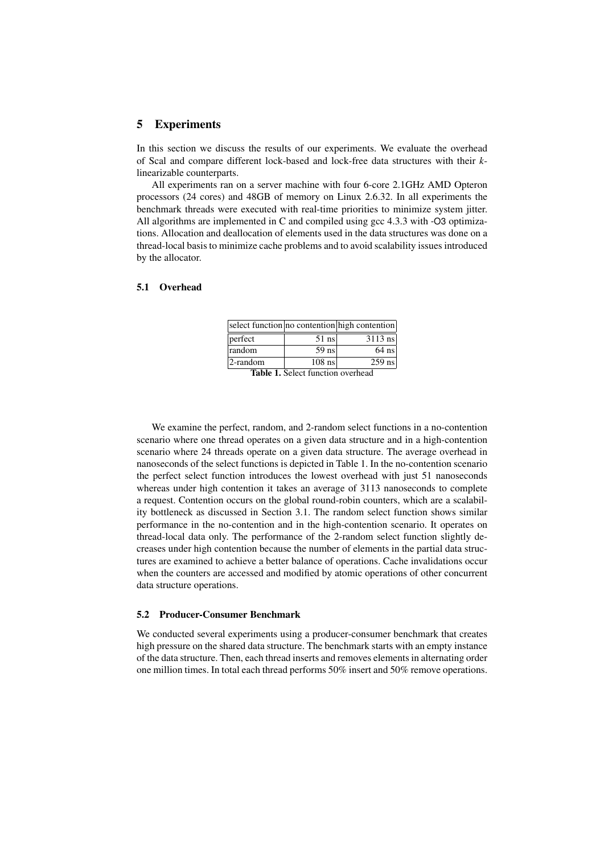## 5 Experiments

In this section we discuss the results of our experiments. We evaluate the overhead of Scal and compare different lock-based and lock-free data structures with their *k*linearizable counterparts.

All experiments ran on a server machine with four 6-core 2.1GHz AMD Opteron processors (24 cores) and 48GB of memory on Linux 2.6.32. In all experiments the benchmark threads were executed with real-time priorities to minimize system jitter. All algorithms are implemented in C and compiled using gcc 4.3.3 with -O3 optimizations. Allocation and deallocation of elements used in the data structures was done on a thread-local basis to minimize cache problems and to avoid scalability issues introduced by the allocator.

#### 5.1 Overhead

|          |               | select function no contention high contention |
|----------|---------------|-----------------------------------------------|
| perfect  | $51$ ns       | $3113$ ns                                     |
| random   | $59$ ns       | $64$ ns                                       |
| 2-random | $108$ ns      | $259$ ns                                      |
|          | $\sim$ $\sim$ |                                               |

Table 1. Select function overhead

We examine the perfect, random, and 2-random select functions in a no-contention scenario where one thread operates on a given data structure and in a high-contention scenario where 24 threads operate on a given data structure. The average overhead in nanoseconds of the select functions is depicted in Table 1. In the no-contention scenario the perfect select function introduces the lowest overhead with just 51 nanoseconds whereas under high contention it takes an average of 3113 nanoseconds to complete a request. Contention occurs on the global round-robin counters, which are a scalability bottleneck as discussed in Section 3.1. The random select function shows similar performance in the no-contention and in the high-contention scenario. It operates on thread-local data only. The performance of the 2-random select function slightly decreases under high contention because the number of elements in the partial data structures are examined to achieve a better balance of operations. Cache invalidations occur when the counters are accessed and modified by atomic operations of other concurrent data structure operations.

#### 5.2 Producer-Consumer Benchmark

We conducted several experiments using a producer-consumer benchmark that creates high pressure on the shared data structure. The benchmark starts with an empty instance of the data structure. Then, each thread inserts and removes elements in alternating order one million times. In total each thread performs 50% insert and 50% remove operations.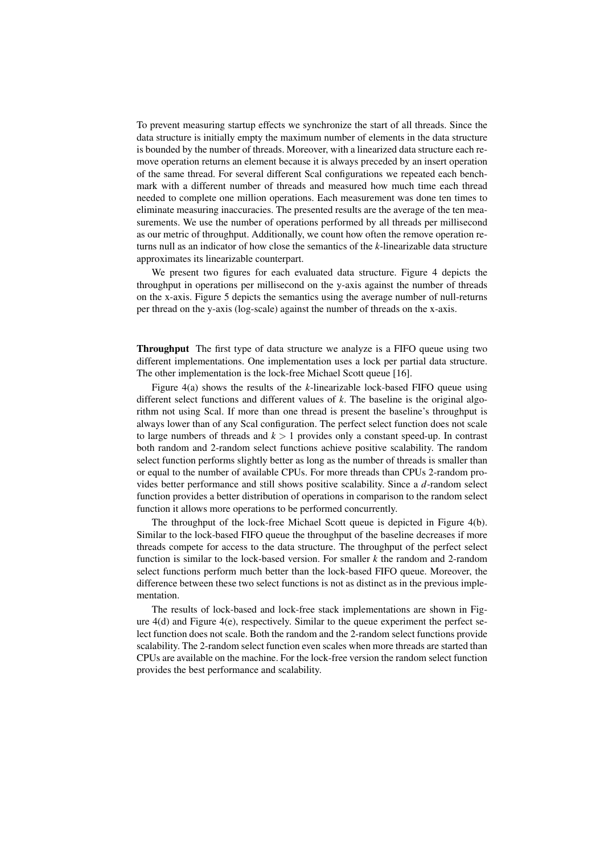To prevent measuring startup effects we synchronize the start of all threads. Since the data structure is initially empty the maximum number of elements in the data structure is bounded by the number of threads. Moreover, with a linearized data structure each remove operation returns an element because it is always preceded by an insert operation of the same thread. For several different Scal configurations we repeated each benchmark with a different number of threads and measured how much time each thread needed to complete one million operations. Each measurement was done ten times to eliminate measuring inaccuracies. The presented results are the average of the ten measurements. We use the number of operations performed by all threads per millisecond as our metric of throughput. Additionally, we count how often the remove operation returns null as an indicator of how close the semantics of the *k*-linearizable data structure approximates its linearizable counterpart.

We present two figures for each evaluated data structure. Figure 4 depicts the throughput in operations per millisecond on the y-axis against the number of threads on the x-axis. Figure 5 depicts the semantics using the average number of null-returns per thread on the y-axis (log-scale) against the number of threads on the x-axis.

Throughput The first type of data structure we analyze is a FIFO queue using two different implementations. One implementation uses a lock per partial data structure. The other implementation is the lock-free Michael Scott queue [16].

Figure 4(a) shows the results of the *k*-linearizable lock-based FIFO queue using different select functions and different values of *k*. The baseline is the original algorithm not using Scal. If more than one thread is present the baseline's throughput is always lower than of any Scal configuration. The perfect select function does not scale to large numbers of threads and  $k > 1$  provides only a constant speed-up. In contrast both random and 2-random select functions achieve positive scalability. The random select function performs slightly better as long as the number of threads is smaller than or equal to the number of available CPUs. For more threads than CPUs 2-random provides better performance and still shows positive scalability. Since a *d*-random select function provides a better distribution of operations in comparison to the random select function it allows more operations to be performed concurrently.

The throughput of the lock-free Michael Scott queue is depicted in Figure 4(b). Similar to the lock-based FIFO queue the throughput of the baseline decreases if more threads compete for access to the data structure. The throughput of the perfect select function is similar to the lock-based version. For smaller *k* the random and 2-random select functions perform much better than the lock-based FIFO queue. Moreover, the difference between these two select functions is not as distinct as in the previous implementation.

The results of lock-based and lock-free stack implementations are shown in Figure 4(d) and Figure 4(e), respectively. Similar to the queue experiment the perfect select function does not scale. Both the random and the 2-random select functions provide scalability. The 2-random select function even scales when more threads are started than CPUs are available on the machine. For the lock-free version the random select function provides the best performance and scalability.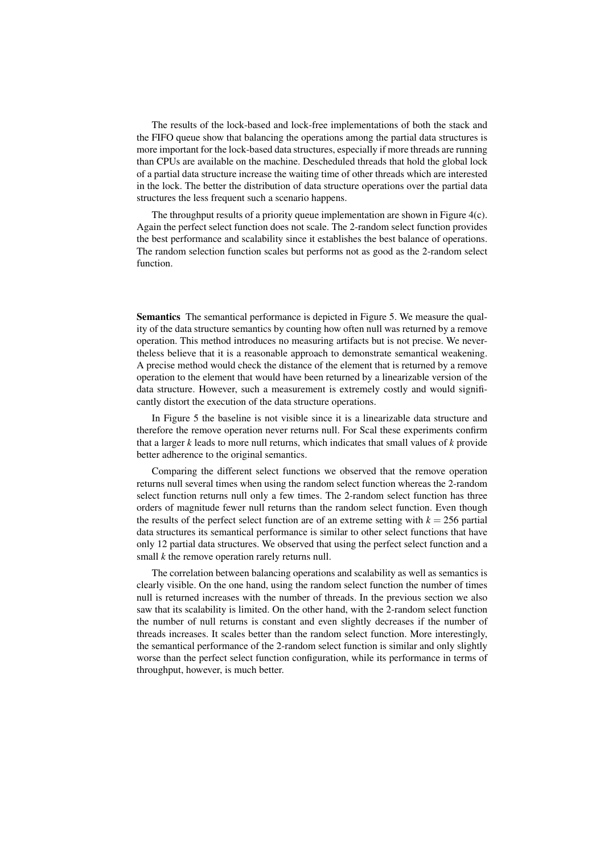The results of the lock-based and lock-free implementations of both the stack and the FIFO queue show that balancing the operations among the partial data structures is more important for the lock-based data structures, especially if more threads are running than CPUs are available on the machine. Descheduled threads that hold the global lock of a partial data structure increase the waiting time of other threads which are interested in the lock. The better the distribution of data structure operations over the partial data structures the less frequent such a scenario happens.

The throughput results of a priority queue implementation are shown in Figure 4(c). Again the perfect select function does not scale. The 2-random select function provides the best performance and scalability since it establishes the best balance of operations. The random selection function scales but performs not as good as the 2-random select function.

Semantics The semantical performance is depicted in Figure 5. We measure the quality of the data structure semantics by counting how often null was returned by a remove operation. This method introduces no measuring artifacts but is not precise. We nevertheless believe that it is a reasonable approach to demonstrate semantical weakening. A precise method would check the distance of the element that is returned by a remove operation to the element that would have been returned by a linearizable version of the data structure. However, such a measurement is extremely costly and would significantly distort the execution of the data structure operations.

In Figure 5 the baseline is not visible since it is a linearizable data structure and therefore the remove operation never returns null. For Scal these experiments confirm that a larger *k* leads to more null returns, which indicates that small values of *k* provide better adherence to the original semantics.

Comparing the different select functions we observed that the remove operation returns null several times when using the random select function whereas the 2-random select function returns null only a few times. The 2-random select function has three orders of magnitude fewer null returns than the random select function. Even though the results of the perfect select function are of an extreme setting with  $k = 256$  partial data structures its semantical performance is similar to other select functions that have only 12 partial data structures. We observed that using the perfect select function and a small *k* the remove operation rarely returns null.

The correlation between balancing operations and scalability as well as semantics is clearly visible. On the one hand, using the random select function the number of times null is returned increases with the number of threads. In the previous section we also saw that its scalability is limited. On the other hand, with the 2-random select function the number of null returns is constant and even slightly decreases if the number of threads increases. It scales better than the random select function. More interestingly, the semantical performance of the 2-random select function is similar and only slightly worse than the perfect select function configuration, while its performance in terms of throughput, however, is much better.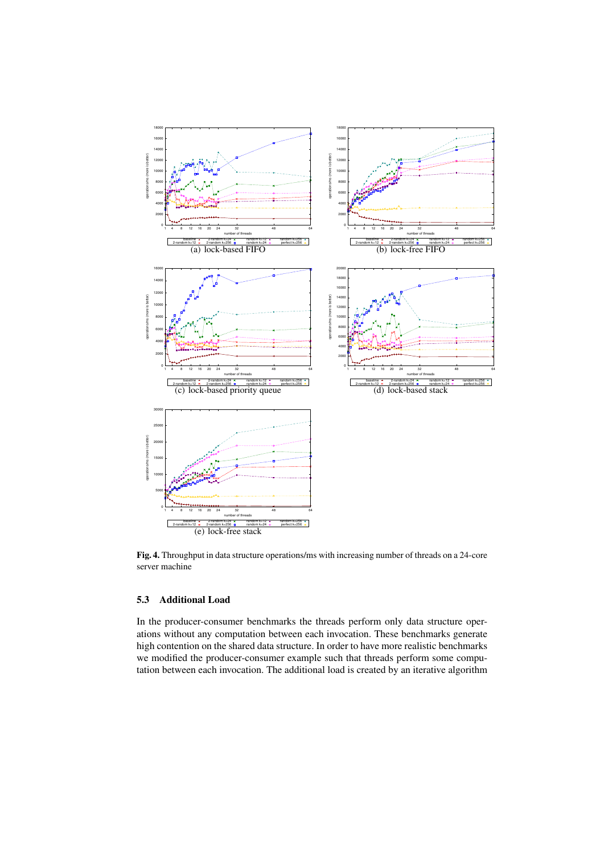

Fig. 4. Throughput in data structure operations/ms with increasing number of threads on a 24-core server machine

# 5.3 Additional Load

In the producer-consumer benchmarks the threads perform only data structure operations without any computation between each invocation. These benchmarks generate high contention on the shared data structure. In order to have more realistic benchmarks we modified the producer-consumer example such that threads perform some computation between each invocation. The additional load is created by an iterative algorithm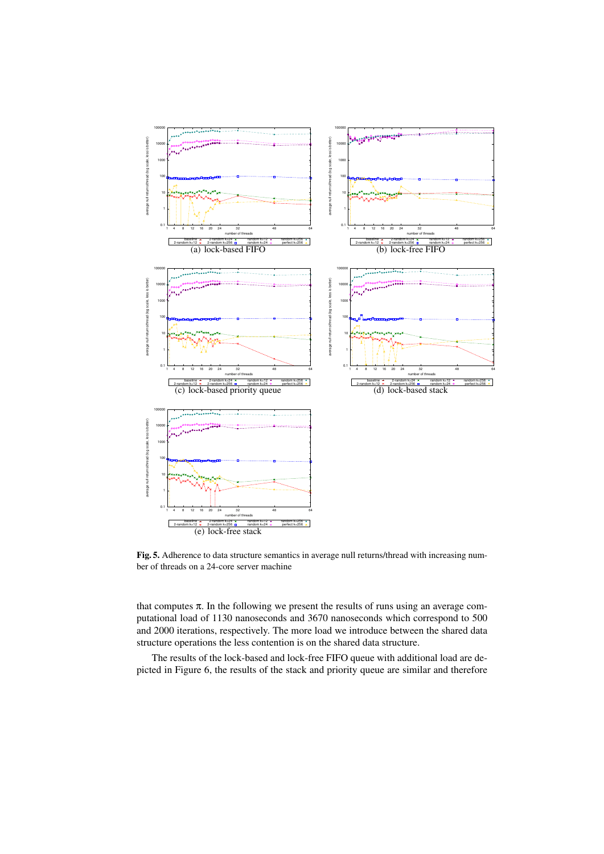

Fig. 5. Adherence to data structure semantics in average null returns/thread with increasing number of threads on a 24-core server machine

that computes  $\pi$ . In the following we present the results of runs using an average computational load of 1130 nanoseconds and 3670 nanoseconds which correspond to 500 and 2000 iterations, respectively. The more load we introduce between the shared data structure operations the less contention is on the shared data structure.

The results of the lock-based and lock-free FIFO queue with additional load are depicted in Figure 6, the results of the stack and priority queue are similar and therefore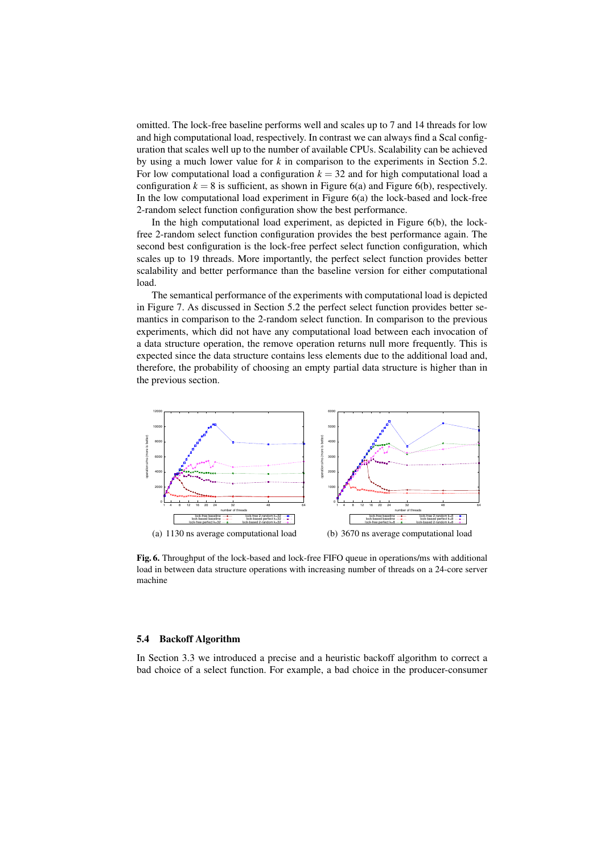omitted. The lock-free baseline performs well and scales up to 7 and 14 threads for low and high computational load, respectively. In contrast we can always find a Scal configuration that scales well up to the number of available CPUs. Scalability can be achieved by using a much lower value for *k* in comparison to the experiments in Section 5.2. For low computational load a configuration  $k = 32$  and for high computational load a configuration  $k = 8$  is sufficient, as shown in Figure 6(a) and Figure 6(b), respectively. In the low computational load experiment in Figure  $6(a)$  the lock-based and lock-free 2-random select function configuration show the best performance.

In the high computational load experiment, as depicted in Figure 6(b), the lockfree 2-random select function configuration provides the best performance again. The second best configuration is the lock-free perfect select function configuration, which scales up to 19 threads. More importantly, the perfect select function provides better scalability and better performance than the baseline version for either computational load.

The semantical performance of the experiments with computational load is depicted in Figure 7. As discussed in Section 5.2 the perfect select function provides better semantics in comparison to the 2-random select function. In comparison to the previous experiments, which did not have any computational load between each invocation of a data structure operation, the remove operation returns null more frequently. This is expected since the data structure contains less elements due to the additional load and, therefore, the probability of choosing an empty partial data structure is higher than in the previous section.



Fig. 6. Throughput of the lock-based and lock-free FIFO queue in operations/ms with additional load in between data structure operations with increasing number of threads on a 24-core server machine

#### 5.4 Backoff Algorithm

In Section 3.3 we introduced a precise and a heuristic backoff algorithm to correct a bad choice of a select function. For example, a bad choice in the producer-consumer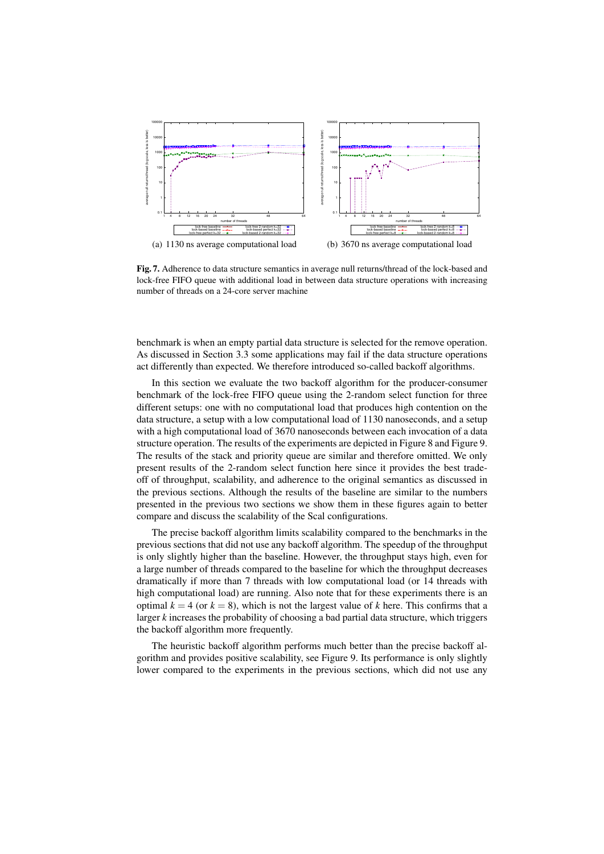

Fig. 7. Adherence to data structure semantics in average null returns/thread of the lock-based and lock-free FIFO queue with additional load in between data structure operations with increasing number of threads on a 24-core server machine

benchmark is when an empty partial data structure is selected for the remove operation. As discussed in Section 3.3 some applications may fail if the data structure operations act differently than expected. We therefore introduced so-called backoff algorithms.

In this section we evaluate the two backoff algorithm for the producer-consumer benchmark of the lock-free FIFO queue using the 2-random select function for three different setups: one with no computational load that produces high contention on the data structure, a setup with a low computational load of 1130 nanoseconds, and a setup with a high computational load of 3670 nanoseconds between each invocation of a data structure operation. The results of the experiments are depicted in Figure 8 and Figure 9. The results of the stack and priority queue are similar and therefore omitted. We only present results of the 2-random select function here since it provides the best tradeoff of throughput, scalability, and adherence to the original semantics as discussed in the previous sections. Although the results of the baseline are similar to the numbers presented in the previous two sections we show them in these figures again to better compare and discuss the scalability of the Scal configurations.

The precise backoff algorithm limits scalability compared to the benchmarks in the previous sections that did not use any backoff algorithm. The speedup of the throughput is only slightly higher than the baseline. However, the throughput stays high, even for a large number of threads compared to the baseline for which the throughput decreases dramatically if more than 7 threads with low computational load (or 14 threads with high computational load) are running. Also note that for these experiments there is an optimal  $k = 4$  (or  $k = 8$ ), which is not the largest value of k here. This confirms that a larger *k* increases the probability of choosing a bad partial data structure, which triggers the backoff algorithm more frequently.

The heuristic backoff algorithm performs much better than the precise backoff algorithm and provides positive scalability, see Figure 9. Its performance is only slightly lower compared to the experiments in the previous sections, which did not use any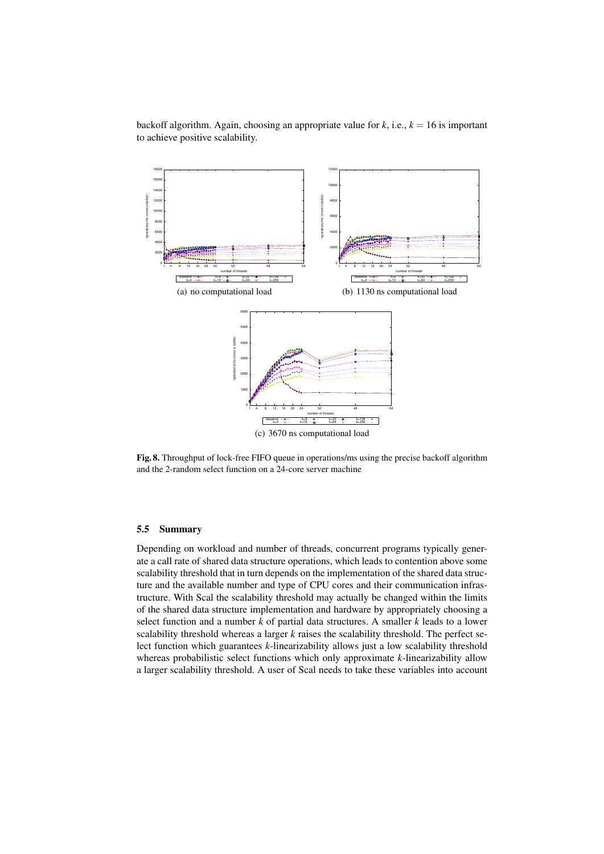backoff algorithm. Again, choosing an appropriate value for  $k$ , i.e.,  $k = 16$  is important to achieve positive scalability.



Fig. 8. Throughput of lock-free FIFO queue in operations/ms using the precise backoff algorithm and the 2-random select function on a 24-core server machine

# 5.5 Summary

Depending on workload and number of threads, concurrent programs typically generate a call rate of shared data structure operations, which leads to contention above some scalability threshold that in turn depends on the implementation of the shared data structure and the available number and type of CPU cores and their communication infrastructure. With Scal the scalability threshold may actually be changed within the limits of the shared data structure implementation and hardware by appropriately choosing a select function and a number *k* of partial data structures. A smaller *k* leads to a lower scalability threshold whereas a larger *k* raises the scalability threshold. The perfect select function which guarantees *k*-linearizability allows just a low scalability threshold whereas probabilistic select functions which only approximate *k*-linearizability allow a larger scalability threshold. A user of Scal needs to take these variables into account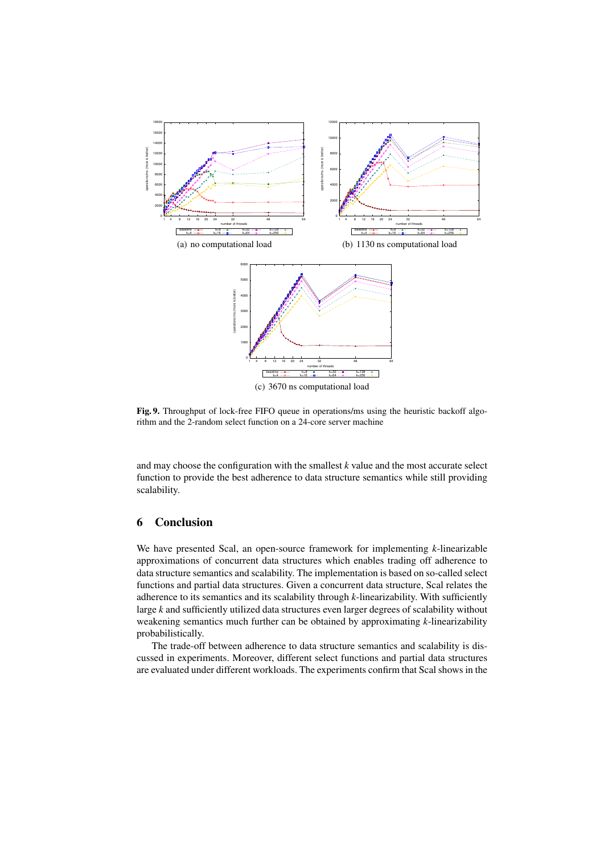

Fig. 9. Throughput of lock-free FIFO queue in operations/ms using the heuristic backoff algorithm and the 2-random select function on a 24-core server machine

and may choose the configuration with the smallest *k* value and the most accurate select function to provide the best adherence to data structure semantics while still providing scalability.

# 6 Conclusion

We have presented Scal, an open-source framework for implementing *k*-linearizable approximations of concurrent data structures which enables trading off adherence to data structure semantics and scalability. The implementation is based on so-called select functions and partial data structures. Given a concurrent data structure, Scal relates the adherence to its semantics and its scalability through *k*-linearizability. With sufficiently large *k* and sufficiently utilized data structures even larger degrees of scalability without weakening semantics much further can be obtained by approximating *k*-linearizability probabilistically.

The trade-off between adherence to data structure semantics and scalability is discussed in experiments. Moreover, different select functions and partial data structures are evaluated under different workloads. The experiments confirm that Scal shows in the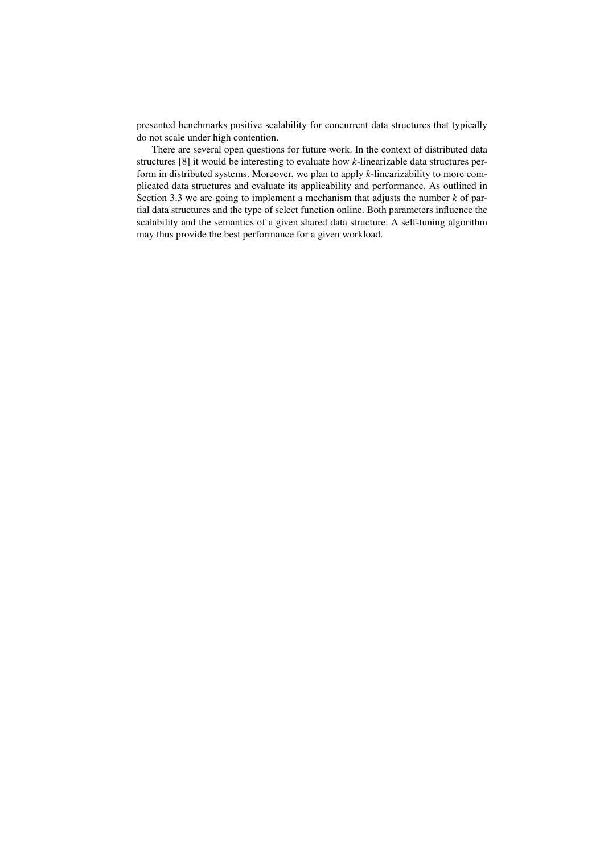presented benchmarks positive scalability for concurrent data structures that typically do not scale under high contention.

There are several open questions for future work. In the context of distributed data structures [8] it would be interesting to evaluate how *k*-linearizable data structures perform in distributed systems. Moreover, we plan to apply *k*-linearizability to more complicated data structures and evaluate its applicability and performance. As outlined in Section 3.3 we are going to implement a mechanism that adjusts the number *k* of partial data structures and the type of select function online. Both parameters influence the scalability and the semantics of a given shared data structure. A self-tuning algorithm may thus provide the best performance for a given workload.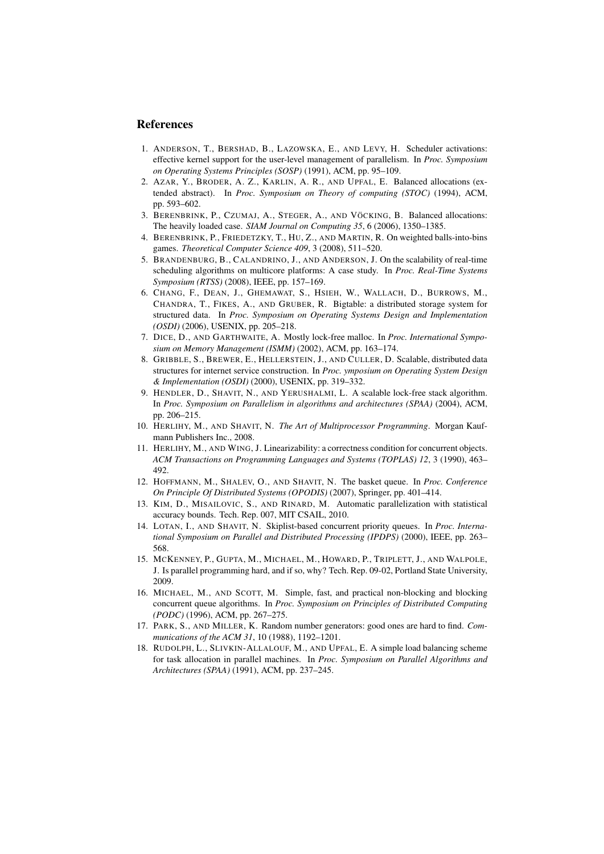## **References**

- 1. ANDERSON, T., BERSHAD, B., LAZOWSKA, E., AND LEVY, H. Scheduler activations: effective kernel support for the user-level management of parallelism. In *Proc. Symposium on Operating Systems Principles (SOSP)* (1991), ACM, pp. 95–109.
- 2. AZAR, Y., BRODER, A. Z., KARLIN, A. R., AND UPFAL, E. Balanced allocations (extended abstract). In *Proc. Symposium on Theory of computing (STOC)* (1994), ACM, pp. 593–602.
- 3. BERENBRINK, P., CZUMAJ, A., STEGER, A., AND VÖCKING, B. Balanced allocations: The heavily loaded case. *SIAM Journal on Computing 35*, 6 (2006), 1350–1385.
- 4. BERENBRINK, P., FRIEDETZKY, T., HU, Z., AND MARTIN, R. On weighted balls-into-bins games. *Theoretical Computer Science 409*, 3 (2008), 511–520.
- 5. BRANDENBURG, B., CALANDRINO, J., AND ANDERSON, J. On the scalability of real-time scheduling algorithms on multicore platforms: A case study. In *Proc. Real-Time Systems Symposium (RTSS)* (2008), IEEE, pp. 157–169.
- 6. CHANG, F., DEAN, J., GHEMAWAT, S., HSIEH, W., WALLACH, D., BURROWS, M., CHANDRA, T., FIKES, A., AND GRUBER, R. Bigtable: a distributed storage system for structured data. In *Proc. Symposium on Operating Systems Design and Implementation (OSDI)* (2006), USENIX, pp. 205–218.
- 7. DICE, D., AND GARTHWAITE, A. Mostly lock-free malloc. In *Proc. International Symposium on Memory Management (ISMM)* (2002), ACM, pp. 163–174.
- 8. GRIBBLE, S., BREWER, E., HELLERSTEIN, J., AND CULLER, D. Scalable, distributed data structures for internet service construction. In *Proc. ymposium on Operating System Design & Implementation (OSDI)* (2000), USENIX, pp. 319–332.
- 9. HENDLER, D., SHAVIT, N., AND YERUSHALMI, L. A scalable lock-free stack algorithm. In *Proc. Symposium on Parallelism in algorithms and architectures (SPAA)* (2004), ACM, pp. 206–215.
- 10. HERLIHY, M., AND SHAVIT, N. *The Art of Multiprocessor Programming*. Morgan Kaufmann Publishers Inc., 2008.
- 11. HERLIHY, M., AND WING, J. Linearizability: a correctness condition for concurrent objects. *ACM Transactions on Programming Languages and Systems (TOPLAS) 12*, 3 (1990), 463– 492.
- 12. HOFFMANN, M., SHALEV, O., AND SHAVIT, N. The basket queue. In *Proc. Conference On Principle Of Distributed Systems (OPODIS)* (2007), Springer, pp. 401–414.
- 13. KIM, D., MISAILOVIC, S., AND RINARD, M. Automatic parallelization with statistical accuracy bounds. Tech. Rep. 007, MIT CSAIL, 2010.
- 14. LOTAN, I., AND SHAVIT, N. Skiplist-based concurrent priority queues. In *Proc. International Symposium on Parallel and Distributed Processing (IPDPS)* (2000), IEEE, pp. 263– 568.
- 15. MCKENNEY, P., GUPTA, M., MICHAEL, M., HOWARD, P., TRIPLETT, J., AND WALPOLE, J. Is parallel programming hard, and if so, why? Tech. Rep. 09-02, Portland State University, 2009.
- 16. MICHAEL, M., AND SCOTT, M. Simple, fast, and practical non-blocking and blocking concurrent queue algorithms. In *Proc. Symposium on Principles of Distributed Computing (PODC)* (1996), ACM, pp. 267–275.
- 17. PARK, S., AND MILLER, K. Random number generators: good ones are hard to find. *Communications of the ACM 31*, 10 (1988), 1192–1201.
- 18. RUDOLPH, L., SLIVKIN-ALLALOUF, M., AND UPFAL, E. A simple load balancing scheme for task allocation in parallel machines. In *Proc. Symposium on Parallel Algorithms and Architectures (SPAA)* (1991), ACM, pp. 237–245.